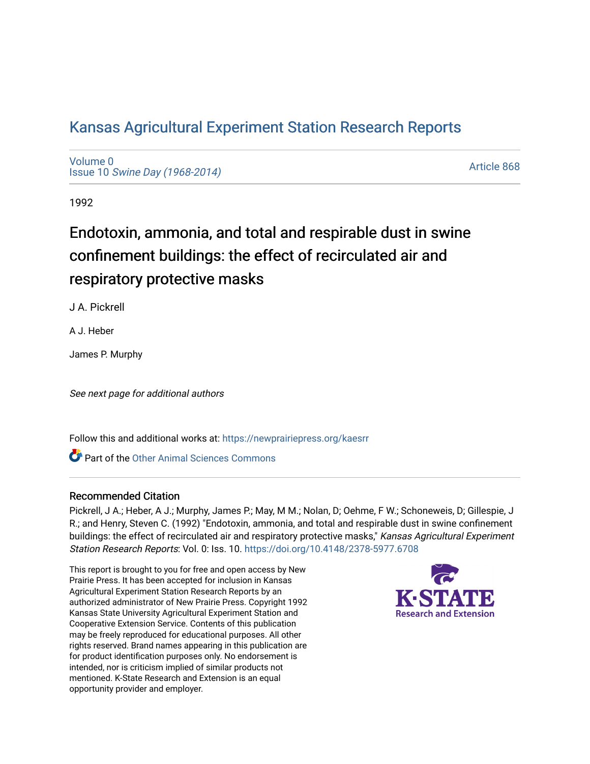# [Kansas Agricultural Experiment Station Research Reports](https://newprairiepress.org/kaesrr)

[Volume 0](https://newprairiepress.org/kaesrr/vol0) Issue 10 [Swine Day \(1968-2014\)](https://newprairiepress.org/kaesrr/vol0/iss10)

[Article 868](https://newprairiepress.org/kaesrr/vol0/iss10/868) 

1992

# Endotoxin, ammonia, and total and respirable dust in swine confinement buildings: the effect of recirculated air and respiratory protective masks

J A. Pickrell

A J. Heber

James P. Murphy

See next page for additional authors

Follow this and additional works at: [https://newprairiepress.org/kaesrr](https://newprairiepress.org/kaesrr?utm_source=newprairiepress.org%2Fkaesrr%2Fvol0%2Fiss10%2F868&utm_medium=PDF&utm_campaign=PDFCoverPages) 

Part of the [Other Animal Sciences Commons](http://network.bepress.com/hgg/discipline/82?utm_source=newprairiepress.org%2Fkaesrr%2Fvol0%2Fiss10%2F868&utm_medium=PDF&utm_campaign=PDFCoverPages)

## Recommended Citation

Pickrell, J A.; Heber, A J.; Murphy, James P.; May, M M.; Nolan, D; Oehme, F W.; Schoneweis, D; Gillespie, J R.; and Henry, Steven C. (1992) "Endotoxin, ammonia, and total and respirable dust in swine confinement buildings: the effect of recirculated air and respiratory protective masks," Kansas Agricultural Experiment Station Research Reports: Vol. 0: Iss. 10. <https://doi.org/10.4148/2378-5977.6708>

This report is brought to you for free and open access by New Prairie Press. It has been accepted for inclusion in Kansas Agricultural Experiment Station Research Reports by an authorized administrator of New Prairie Press. Copyright 1992 Kansas State University Agricultural Experiment Station and Cooperative Extension Service. Contents of this publication may be freely reproduced for educational purposes. All other rights reserved. Brand names appearing in this publication are for product identification purposes only. No endorsement is intended, nor is criticism implied of similar products not mentioned. K-State Research and Extension is an equal opportunity provider and employer.

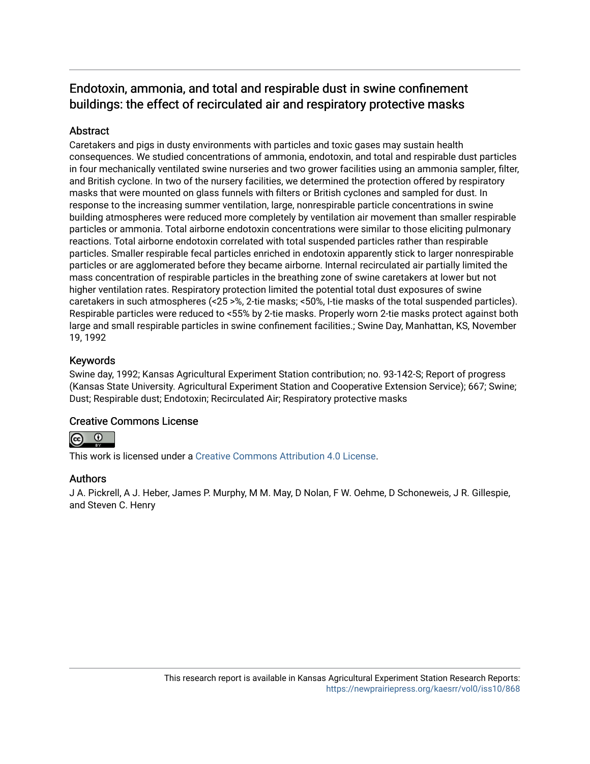# Endotoxin, ammonia, and total and respirable dust in swine confinement buildings: the effect of recirculated air and respiratory protective masks

# **Abstract**

Caretakers and pigs in dusty environments with particles and toxic gases may sustain health consequences. We studied concentrations of ammonia, endotoxin, and total and respirable dust particles in four mechanically ventilated swine nurseries and two grower facilities using an ammonia sampler, filter, and British cyclone. In two of the nursery facilities, we determined the protection offered by respiratory masks that were mounted on glass funnels with filters or British cyclones and sampled for dust. In response to the increasing summer ventilation, large, nonrespirable particle concentrations in swine building atmospheres were reduced more completely by ventilation air movement than smaller respirable particles or ammonia. Total airborne endotoxin concentrations were similar to those eliciting pulmonary reactions. Total airborne endotoxin correlated with total suspended particles rather than respirable particles. Smaller respirable fecal particles enriched in endotoxin apparently stick to larger nonrespirable particles or are agglomerated before they became airborne. Internal recirculated air partially limited the mass concentration of respirable particles in the breathing zone of swine caretakers at lower but not higher ventilation rates. Respiratory protection limited the potential total dust exposures of swine caretakers in such atmospheres (<25 >%, 2-tie masks; <50%, I-tie masks of the total suspended particles). Respirable particles were reduced to <55% by 2-tie masks. Properly worn 2-tie masks protect against both large and small respirable particles in swine confinement facilities.; Swine Day, Manhattan, KS, November 19, 1992

# Keywords

Swine day, 1992; Kansas Agricultural Experiment Station contribution; no. 93-142-S; Report of progress (Kansas State University. Agricultural Experiment Station and Cooperative Extension Service); 667; Swine; Dust; Respirable dust; Endotoxin; Recirculated Air; Respiratory protective masks

## Creative Commons License



This work is licensed under a [Creative Commons Attribution 4.0 License](https://creativecommons.org/licenses/by/4.0/).

## Authors

J A. Pickrell, A J. Heber, James P. Murphy, M M. May, D Nolan, F W. Oehme, D Schoneweis, J R. Gillespie, and Steven C. Henry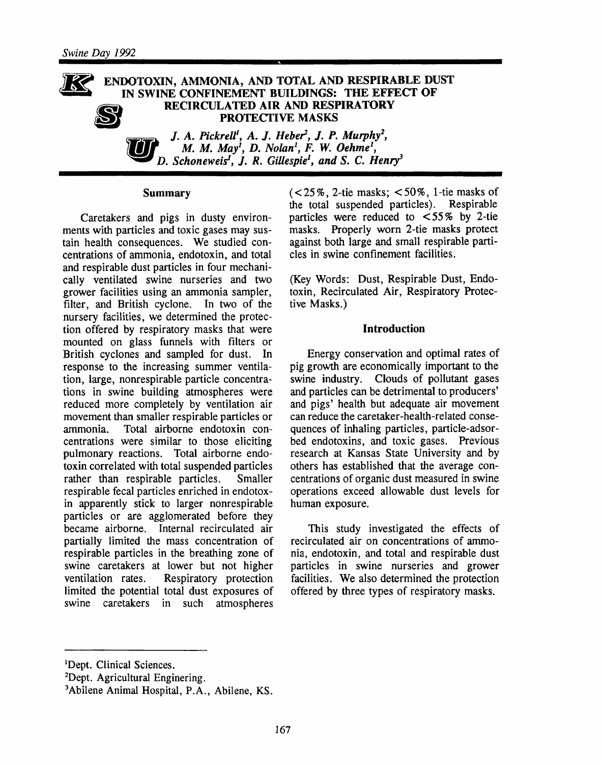#### ENDOTOXIN, AMMONIA, AND TOTAL AND RESPIRABLE DUST IN SWINE CONFINEMENT BUILDINGS: THE EFFECT OF RECIRCULATED AIR AND RESPIRATORY **PROTECTIVE MASKS**

J. A. Pickrell<sup>1</sup>, A. J. Heber<sup>2</sup>, J. P. Murphy<sup>2</sup>, M. M. May<sup>i</sup>, D. Nolan<sup>1</sup>, F. W. Oehme<sup>1</sup>, D. Schoneweis<sup>1</sup>, J. R. Gillespie<sup>1</sup>, and S. C. Henry<sup>3</sup>

#### **Summary**

Caretakers and pigs in dusty environments with particles and toxic gases may sustain health consequences. We studied concentrations of ammonia, endotoxin, and total and respirable dust particles in four mechanically ventilated swine nurseries and two grower facilities using an ammonia sampler, filter, and British cyclone. In two of the nursery facilities, we determined the protection offered by respiratory masks that were mounted on glass funnels with filters or British cyclones and sampled for dust. In response to the increasing summer ventilation, large, nonrespirable particle concentrations in swine building atmospheres were reduced more completely by ventilation air movement than smaller respirable particles or Total airborne endotoxin conammonia. centrations were similar to those eliciting pulmonary reactions. Total airborne endotoxin correlated with total suspended particles rather than respirable particles. Smaller respirable fecal particles enriched in endotoxin apparently stick to larger nonrespirable particles or are agglomerated before they became airborne. Internal recirculated air partially limited the mass concentration of respirable particles in the breathing zone of swine caretakers at lower but not higher ventilation rates. Respiratory protection limited the potential total dust exposures of swine caretakers in such atmospheres

 $(< 25\%$ , 2-tie masks;  $< 50\%$ , 1-tie masks of the total suspended particles). Respirable particles were reduced to  $\lt 55\%$  by 2-tie masks. Properly worn 2-tie masks protect against both large and small respirable particles in swine confinement facilities.

(Key Words: Dust, Respirable Dust, Endotoxin, Recirculated Air, Respiratory Protective Masks.)

#### **Introduction**

Energy conservation and optimal rates of pig growth are economically important to the swine industry. Clouds of pollutant gases and particles can be detrimental to producers' and pigs' health but adequate air movement can reduce the caretaker-health-related consequences of inhaling particles, particle-adsorbed endotoxins, and toxic gases. Previous research at Kansas State University and by others has established that the average concentrations of organic dust measured in swine operations exceed allowable dust levels for human exposure.

This study investigated the effects of recirculated air on concentrations of ammonia, endotoxin, and total and respirable dust particles in swine nurseries and grower facilities. We also determined the protection offered by three types of respiratory masks.

<sup>&</sup>lt;sup>1</sup>Dept. Clinical Sciences.

<sup>&</sup>lt;sup>2</sup>Dept. Agricultural Enginering.

<sup>&</sup>lt;sup>3</sup>Abilene Animal Hospital, P.A., Abilene, KS.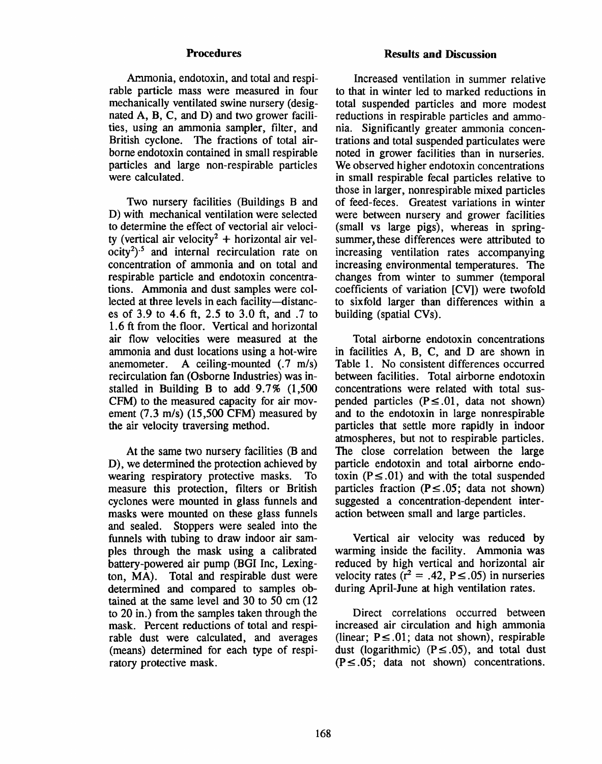#### **Procedures**

Ammonia, endotoxin, and total and respirable particle mass were measured in four mechanically ventilated swine nursery (designated A, B, C, and D) and two grower facilities, using an ammonia sampler, filter, and British cyclone. The fractions of total airborne endotoxin contained in small respirable particles and large non-respirable particles were calculated.

Two nursery facilities (Buildings B and D) with mechanical ventilation were selected to determine the effect of vectorial air velocity (vertical air velocity<sup>2</sup> + horizontal air vel $ocity<sup>2</sup>$ <sup>5</sup> and internal recirculation rate on concentration of ammonia and on total and respirable particle and endotoxin concentrations. Ammonia and dust samples were collected at three levels in each facility-distances of 3.9 to 4.6 ft, 2.5 to 3.0 ft, and .7 to 1.6 ft from the floor. Vertical and horizontal air flow velocities were measured at the ammonia and dust locations using a hot-wire anemometer. A ceiling-mounted  $(0.7 \text{ m/s})$ recirculation fan (Osborne Industries) was installed in Building B to add 9.7% (1,500) CFM) to the measured capacity for air movement  $(7.3 \text{ m/s})$   $(15,500 \text{ CFM})$  measured by the air velocity traversing method.

At the same two nursery facilities (B and D), we determined the protection achieved by wearing respiratory protective masks. To measure this protection, filters or British cyclones were mounted in glass funnels and masks were mounted on these glass funnels and sealed. Stoppers were sealed into the funnels with tubing to draw indoor air samples through the mask using a calibrated battery-powered air pump (BGI Inc, Lexington, MA). Total and respirable dust were determined and compared to samples obtained at the same level and 30 to 50 cm (12) to 20 in.) from the samples taken through the mask. Percent reductions of total and respirable dust were calculated, and averages (means) determined for each type of respiratory protective mask.

#### **Results and Discussion**

Increased ventilation in summer relative to that in winter led to marked reductions in total suspended particles and more modest reductions in respirable particles and ammonia. Significantly greater ammonia concentrations and total suspended particulates were noted in grower facilities than in nurseries. We observed higher endotoxin concentrations in small respirable fecal particles relative to those in larger, nonrespirable mixed particles of feed-feces. Greatest variations in winter were between nursery and grower facilities (small vs large pigs), whereas in springsummer, these differences were attributed to increasing ventilation rates accompanying increasing environmental temperatures. The changes from winter to summer (temporal coefficients of variation [CV]) were twofold to sixfold larger than differences within a building (spatial CVs).

Total airborne endotoxin concentrations in facilities A, B, C, and D are shown in Table 1. No consistent differences occurred between facilities. Total airborne endotoxin concentrations were related with total suspended particles  $(P \le 0.01$ , data not shown) and to the endotoxin in large nonrespirable particles that settle more rapidly in indoor atmospheres, but not to respirable particles. The close correlation between the large particle endotoxin and total airborne endotoxin ( $P \leq .01$ ) and with the total suspended particles fraction ( $P \le 0.05$ ; data not shown) suggested a concentration-dependent interaction between small and large particles.

Vertical air velocity was reduced by warming inside the facility. Ammonia was reduced by high vertical and horizontal air velocity rates ( $r^2 = .42$ ,  $P \le .05$ ) in nurseries during April-June at high ventilation rates.

Direct correlations occurred between increased air circulation and high ammonia (linear;  $P \leq .01$ ; data not shown), respirable dust (logarithmic) ( $P \leq .05$ ), and total dust  $(P \le .05;$  data not shown) concentrations.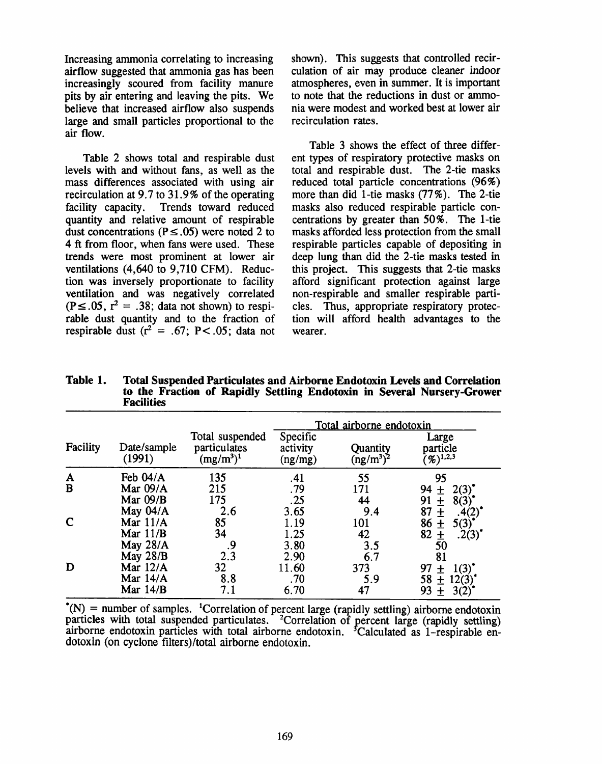Increasing ammonia correlating to increasing airflow suggested that ammonia gas has been increasingly scoured from facility manure pits by air entering and leaving the pits. We believe that increased airflow also suspends large and small particles proportional to the air flow.

Table 2 shows total and respirable dust levels with and without fans, as well as the mass differences associated with using air recirculation at 9.7 to 31.9% of the operating facility capacity. Trends toward reduced quantity and relative amount of respirable dust concentrations ( $P \leq .05$ ) were noted 2 to 4 ft from floor, when fans were used. These trends were most prominent at lower air ventilations (4,640 to 9,710 CFM). Reduction was inversely proportionate to facility ventilation and was negatively correlated  $(P \le .05, r^2 = .38; data not shown)$  to respirable dust quantity and to the fraction of respirable dust  $(r^2 = .67; P < .05;$  data not shown). This suggests that controlled recirculation of air may produce cleaner indoor atmospheres, even in summer. It is important to note that the reductions in dust or ammonia were modest and worked best at lower air recirculation rates.

Table 3 shows the effect of three different types of respiratory protective masks on total and respirable dust. The 2-tie masks reduced total particle concentrations (96%) more than did 1-tie masks  $(77\%)$ . The 2-tie masks also reduced respirable particle concentrations by greater than 50%. The 1-tie masks afforded less protection from the small respirable particles capable of depositing in deep lung than did the 2-tie masks tested in this project. This suggests that 2-tie masks afford significant protection against large non-respirable and smaller respirable particles. Thus, appropriate respiratory protection will afford health advantages to the wearer.

|                              | <b>raculues</b>       |                                                 |                                 |                          |                                      |  |  |
|------------------------------|-----------------------|-------------------------------------------------|---------------------------------|--------------------------|--------------------------------------|--|--|
|                              |                       |                                                 | Total airborne endotoxin        |                          |                                      |  |  |
| Facility                     | Date/sample<br>(1991) | Total suspended<br>particulates<br>$(mg/m^3)^1$ | Specific<br>activity<br>(ng/mg) | Quantity<br>$(ng/m^3)^2$ | Large<br>particle<br>$(y_0)^{1,2,3}$ |  |  |
| $\mathbf{A}$<br>$\mathbf{B}$ | Feb 04/A              | 135                                             | .41                             | 55                       | 95                                   |  |  |
|                              | Mar 09/A              | 215                                             | .79                             | 171                      | 94<br>2(3)<br>$\ddot{}$              |  |  |
|                              | Mar $09/B$            | 175                                             | .25                             | 44                       | 91<br>8(3)<br>土                      |  |  |
|                              | May 04/A              | 2.6                                             | 3.65                            | 9.4                      | 87<br>士                              |  |  |
| $\mathbf C$                  | Mar $11/A$            | 85                                              | 1.19                            | 101                      | 86<br>5(3)<br>士                      |  |  |
|                              | Mar $11/B$            | 34                                              | 1.25                            | 42                       | 82<br>.2(3)<br>土                     |  |  |
|                              | May 28/A              | 9.                                              | 3.80                            | 3.5                      | 50                                   |  |  |
|                              | May $28/B$            | 2.3                                             | 2.90                            | 6.7                      | 81                                   |  |  |
| D                            | Mar $12/A$            | 32                                              | 11.60                           | 373                      | 97<br>1(3)<br>土                      |  |  |
|                              | Mar $14/A$            | 8.8                                             | .70                             | 5.9                      | 58<br>12(3)<br>$\ddot{}$             |  |  |
|                              | Mar $14/B$            | 7.1                                             | 6.70                            | 47                       | 93<br>3(2)<br>$\mathbf +$            |  |  |

Table 1. **Total Suspended Particulates and Airborne Endotoxin Levels and Correlation** to the Fraction of Rapidly Settling Endotoxin in Several Nursery-Grower

 $*(N)$  = number of samples. <sup>1</sup>Correlation of percent large (rapidly settling) airborne endotoxin particles with total suspended particulates. <sup>2</sup>Correlation of percent large (rapidly settling) airborne endotoxin particles with total airborne endotoxin. <sup>5</sup>Calculated as 1-respirable endotoxin (on cyclone filters)/total airborne endotoxin.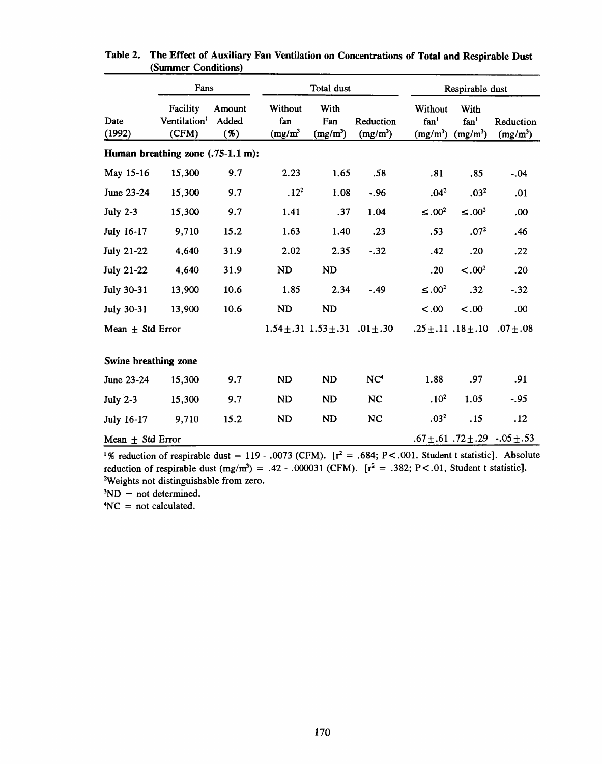|                                   | Fans                                          |                        | Total dust                   |                                             |                         |                                           | Respirable dust                        |                                            |  |
|-----------------------------------|-----------------------------------------------|------------------------|------------------------------|---------------------------------------------|-------------------------|-------------------------------------------|----------------------------------------|--------------------------------------------|--|
| Date<br>(1992)                    | Facility<br>Ventilation <sup>1</sup><br>(CFM) | Amount<br>Added<br>(%) | Without<br>fan<br>$(mg/m^3)$ | With<br>Fan<br>$(mg/m^3)$                   | Reduction<br>$(mg/m^3)$ | Without<br>fan <sup>1</sup><br>$(mg/m^3)$ | With<br>fan <sup>1</sup><br>$(mg/m^3)$ | Reduction<br>$(mg/m^3)$                    |  |
| Human breathing zone (.75-1.1 m): |                                               |                        |                              |                                             |                         |                                           |                                        |                                            |  |
| May 15-16                         | 15,300                                        | 9.7                    | 2.23                         | 1.65                                        | .58                     | .81                                       | .85                                    | $-.04$                                     |  |
| June 23-24                        | 15,300                                        | 9.7                    | .12 <sup>2</sup>             | 1.08                                        | $-.96$                  | .04 <sup>2</sup>                          | .03 <sup>2</sup>                       | .01                                        |  |
| <b>July 2-3</b>                   | 15,300                                        | 9.7                    | 1.41                         | .37                                         | 1.04                    | $\leq 0.00^2$                             | $\leq .00^2$                           | .00                                        |  |
| July 16-17                        | 9,710                                         | 15.2                   | 1.63                         | 1.40                                        | .23                     | .53                                       | .07 <sup>2</sup>                       | .46                                        |  |
| <b>July 21-22</b>                 | 4,640                                         | 31.9                   | 2.02                         | 2.35                                        | $-.32$                  | .42                                       | .20                                    | .22                                        |  |
| <b>July 21-22</b>                 | 4,640                                         | 31.9                   | <b>ND</b>                    | <b>ND</b>                                   |                         | .20                                       | $-.002$                                | .20                                        |  |
| <b>July 30-31</b>                 | 13,900                                        | 10.6                   | 1.85                         | 2.34                                        | $-.49$                  | $\leq 0.00^2$                             | .32                                    | $-.32$                                     |  |
| <b>July 30-31</b>                 | 13,900                                        | 10.6                   | ND                           | <b>ND</b>                                   |                         | $-.00$                                    | $-.00$                                 | .00                                        |  |
| Mean $\pm$ Std Error              |                                               |                        |                              | $1.54 \pm .31$ $1.53 \pm .31$ $.01 \pm .30$ |                         |                                           | $.25 \pm .11$ $.18 \pm .10$            | $.07 + .08$                                |  |
| Swine breathing zone              |                                               |                        |                              |                                             |                         |                                           |                                        |                                            |  |
| June 23-24                        | 15,300                                        | 9.7                    | <b>ND</b>                    | ND                                          | NC <sup>4</sup>         | 1.88                                      | .97                                    | .91                                        |  |
| <b>July 2-3</b>                   | 15,300                                        | 9.7                    | <b>ND</b>                    | ND                                          | <b>NC</b>               | .10 <sup>2</sup>                          | 1.05                                   | $-.95$                                     |  |
| July 16-17                        | 9,710                                         | 15.2                   | <b>ND</b>                    | ND                                          | NC                      | .03 <sup>2</sup>                          | .15                                    | .12                                        |  |
| Mean $\pm$ Std Error              |                                               |                        |                              |                                             |                         |                                           |                                        | .67 $\pm$ .61. 72 $\pm$ .29. .05 $\pm$ .53 |  |

Table 2. The Effect of Auxiliary Fan Ventilation on Concentrations of Total and Respirable Dust (Summer Conditions)

<sup>1</sup>% reduction of respirable dust = 119 - .0073 (CFM).  $[r^2 = .684; P < .001$ . Student t statistic]. Absolute reduction of respirable dust  $(mg/m^3) = .42 - .000031$  (CFM).  $[r^2 = .382; P < .01$ , Student t statistic]. <sup>2</sup>Weights not distinguishable from zero.

 ${}^{3}ND$  = not determined.

 $4NC = not calculated.$